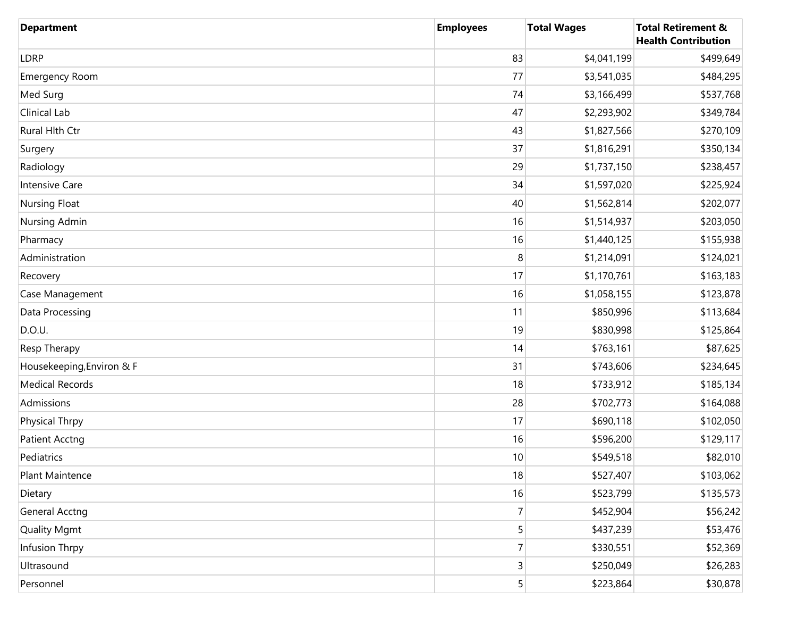| <b>Department</b>         | <b>Employees</b> | <b>Total Wages</b> | <b>Total Retirement &amp;</b><br><b>Health Contribution</b> |
|---------------------------|------------------|--------------------|-------------------------------------------------------------|
| LDRP                      | 83               | \$4,041,199        | \$499,649                                                   |
| <b>Emergency Room</b>     | 77               | \$3,541,035        | \$484,295                                                   |
| Med Surg                  | 74               | \$3,166,499        | \$537,768                                                   |
| Clinical Lab              | 47               | \$2,293,902        | \$349,784                                                   |
| Rural Hlth Ctr            | 43               | \$1,827,566        | \$270,109                                                   |
| Surgery                   | 37               | \$1,816,291        | \$350,134                                                   |
| Radiology                 | 29               | \$1,737,150        | \$238,457                                                   |
| Intensive Care            | 34               | \$1,597,020        | \$225,924                                                   |
| <b>Nursing Float</b>      | 40               | \$1,562,814        | \$202,077                                                   |
| Nursing Admin             | 16               | \$1,514,937        | \$203,050                                                   |
| Pharmacy                  | 16               | \$1,440,125        | \$155,938                                                   |
| Administration            | 8                | \$1,214,091        | \$124,021                                                   |
| Recovery                  | 17               | \$1,170,761        | \$163,183                                                   |
| Case Management           | 16               | \$1,058,155        | \$123,878                                                   |
| Data Processing           | 11               | \$850,996          | \$113,684                                                   |
| D.O.U.                    | 19               | \$830,998          | \$125,864                                                   |
| Resp Therapy              | 14               | \$763,161          | \$87,625                                                    |
| Housekeeping, Environ & F | 31               | \$743,606          | \$234,645                                                   |
| <b>Medical Records</b>    | 18               | \$733,912          | \$185,134                                                   |
| Admissions                | 28               | \$702,773          | \$164,088                                                   |
| Physical Thrpy            | 17               | \$690,118          | \$102,050                                                   |
| <b>Patient Acctng</b>     | 16               | \$596,200          | \$129,117                                                   |
| Pediatrics                | 10               | \$549,518          | \$82,010                                                    |
| Plant Maintence           | 18               | \$527,407          | \$103,062                                                   |
| Dietary                   | 16               | \$523,799          | \$135,573                                                   |
| <b>General Acctng</b>     | $\overline{7}$   | \$452,904          | \$56,242                                                    |
| <b>Quality Mgmt</b>       | 5                | \$437,239          | \$53,476                                                    |
| Infusion Thrpy            | $\overline{7}$   | \$330,551          | \$52,369                                                    |
| Ultrasound                | 3                | \$250,049          | \$26,283                                                    |
| Personnel                 | 5                | \$223,864          | \$30,878                                                    |